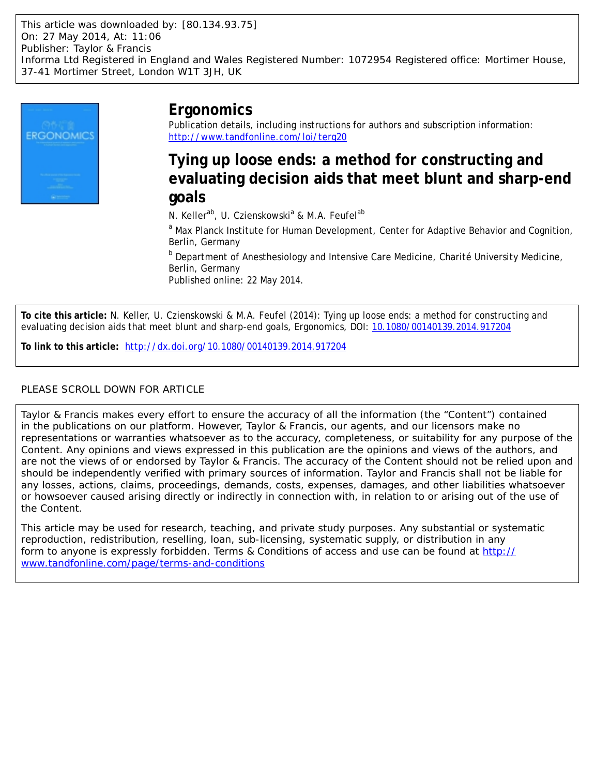

# **Ergonomics**

Publication details, including instructions for authors and subscription information: <http://www.tandfonline.com/loi/terg20>

# **Tying up loose ends: a method for constructing and evaluating decision aids that meet blunt and sharp-end goals**

N. Keller<sup>ab</sup>, U. Czienskowski<sup>a</sup> & M.A. Feufel<sup>ab</sup>

<sup>a</sup> Max Planck Institute for Human Development, Center for Adaptive Behavior and Cognition, Berlin, Germany

**b** Department of Anesthesiology and Intensive Care Medicine, Charité University Medicine, Berlin, Germany

Published online: 22 May 2014.

**To cite this article:** N. Keller, U. Czienskowski & M.A. Feufel (2014): Tying up loose ends: a method for constructing and evaluating decision aids that meet blunt and sharp-end goals, Ergonomics, DOI: [10.1080/00140139.2014.917204](http://www.tandfonline.com/action/showCitFormats?doi=10.1080/00140139.2014.917204)

**To link to this article:** <http://dx.doi.org/10.1080/00140139.2014.917204>

# PLEASE SCROLL DOWN FOR ARTICLE

Taylor & Francis makes every effort to ensure the accuracy of all the information (the "Content") contained in the publications on our platform. However, Taylor & Francis, our agents, and our licensors make no representations or warranties whatsoever as to the accuracy, completeness, or suitability for any purpose of the Content. Any opinions and views expressed in this publication are the opinions and views of the authors, and are not the views of or endorsed by Taylor & Francis. The accuracy of the Content should not be relied upon and should be independently verified with primary sources of information. Taylor and Francis shall not be liable for any losses, actions, claims, proceedings, demands, costs, expenses, damages, and other liabilities whatsoever or howsoever caused arising directly or indirectly in connection with, in relation to or arising out of the use of the Content.

This article may be used for research, teaching, and private study purposes. Any substantial or systematic reproduction, redistribution, reselling, loan, sub-licensing, systematic supply, or distribution in any form to anyone is expressly forbidden. Terms & Conditions of access and use can be found at [http://](http://www.tandfonline.com/page/terms-and-conditions) [www.tandfonline.com/page/terms-and-conditions](http://www.tandfonline.com/page/terms-and-conditions)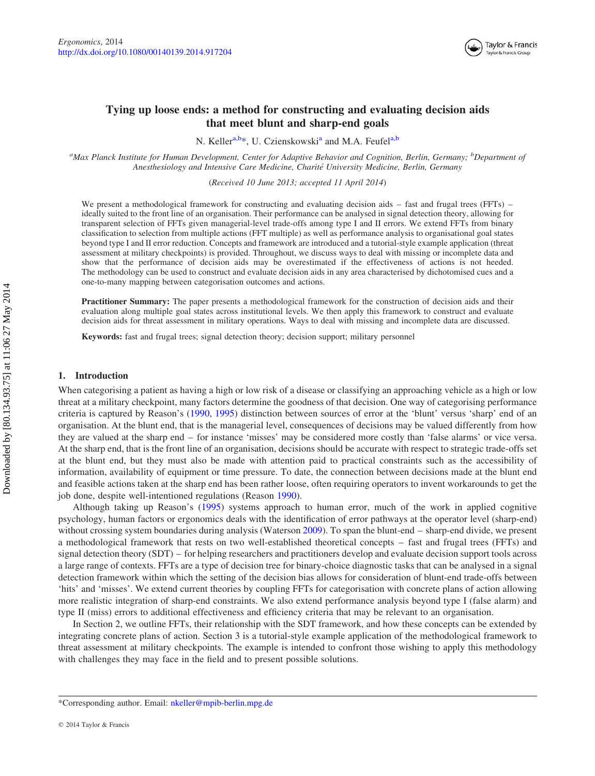

# Tying up loose ends: a method for constructing and evaluating decision aids that meet blunt and sharp-end goals

N. Keller<sup>a,b[\\*](#page-1-1)</sup>, U. Czienskowski<sup>a</sup> and M.A. Feufel<sup>[a,b](#page-1-0)</sup>

<span id="page-1-0"></span><sup>a</sup>Max Planck Institute for Human Development, Center for Adaptive Behavior and Cognition, Berlin, Germany; <sup>b</sup>Department of Anesthesiology and Intensive Care Medicine, Charité University Medicine, Berlin, Germany

(Received 10 June 2013; accepted 11 April 2014)

We present a methodological framework for constructing and evaluating decision aids – fast and frugal trees (FFTs) – ideally suited to the front line of an organisation. Their performance can be analysed in signal detection theory, allowing for transparent selection of FFTs given managerial-level trade-offs among type I and II errors. We extend FFTs from binary classification to selection from multiple actions (FFT multiple) as well as performance analysis to organisational goal states beyond type I and II error reduction. Concepts and framework are introduced and a tutorial-style example application (threat assessment at military checkpoints) is provided. Throughout, we discuss ways to deal with missing or incomplete data and show that the performance of decision aids may be overestimated if the effectiveness of actions is not heeded. The methodology can be used to construct and evaluate decision aids in any area characterised by dichotomised cues and a one-to-many mapping between categorisation outcomes and actions.

Practitioner Summary: The paper presents a methodological framework for the construction of decision aids and their evaluation along multiple goal states across institutional levels. We then apply this framework to construct and evaluate decision aids for threat assessment in military operations. Ways to deal with missing and incomplete data are discussed.

Keywords: fast and frugal trees; signal detection theory; decision support; military personnel

# 1. Introduction

When categorising a patient as having a high or low risk of a disease or classifying an approaching vehicle as a high or low threat at a military checkpoint, many factors determine the goodness of that decision. One way of categorising performance criteria is captured by Reason's ([1990,](#page-13-0) [1995](#page-13-1)) distinction between sources of error at the 'blunt' versus 'sharp' end of an organisation. At the blunt end, that is the managerial level, consequences of decisions may be valued differently from how they are valued at the sharp end – for instance 'misses' may be considered more costly than 'false alarms' or vice versa. At the sharp end, that is the front line of an organisation, decisions should be accurate with respect to strategic trade-offs set at the blunt end, but they must also be made with attention paid to practical constraints such as the accessibility of information, availability of equipment or time pressure. To date, the connection between decisions made at the blunt end and feasible actions taken at the sharp end has been rather loose, often requiring operators to invent workarounds to get the job done, despite well-intentioned regulations (Reason [1990\)](#page-13-0).

Although taking up Reason's [\(1995](#page-13-1)) systems approach to human error, much of the work in applied cognitive psychology, human factors or ergonomics deals with the identification of error pathways at the operator level (sharp-end) without crossing system boundaries during analysis (Waterson [2009](#page-13-2)). To span the blunt-end – sharp-end divide, we present a methodological framework that rests on two well-established theoretical concepts – fast and frugal trees (FFTs) and signal detection theory (SDT) – for helping researchers and practitioners develop and evaluate decision support tools across a large range of contexts. FFTs are a type of decision tree for binary-choice diagnostic tasks that can be analysed in a signal detection framework within which the setting of the decision bias allows for consideration of blunt-end trade-offs between 'hits' and 'misses'. We extend current theories by coupling FFTs for categorisation with concrete plans of action allowing more realistic integration of sharp-end constraints. We also extend performance analysis beyond type I (false alarm) and type II (miss) errors to additional effectiveness and efficiency criteria that may be relevant to an organisation.

In Section 2, we outline FFTs, their relationship with the SDT framework, and how these concepts can be extended by integrating concrete plans of action. Section 3 is a tutorial-style example application of the methodological framework to threat assessment at military checkpoints. The example is intended to confront those wishing to apply this methodology with challenges they may face in the field and to present possible solutions.

<span id="page-1-1"></span><sup>\*</sup>Corresponding author. Email: [nkeller@mpib-berlin.mpg.de](mailto:nkeller@mpib-berlin.mpg.de)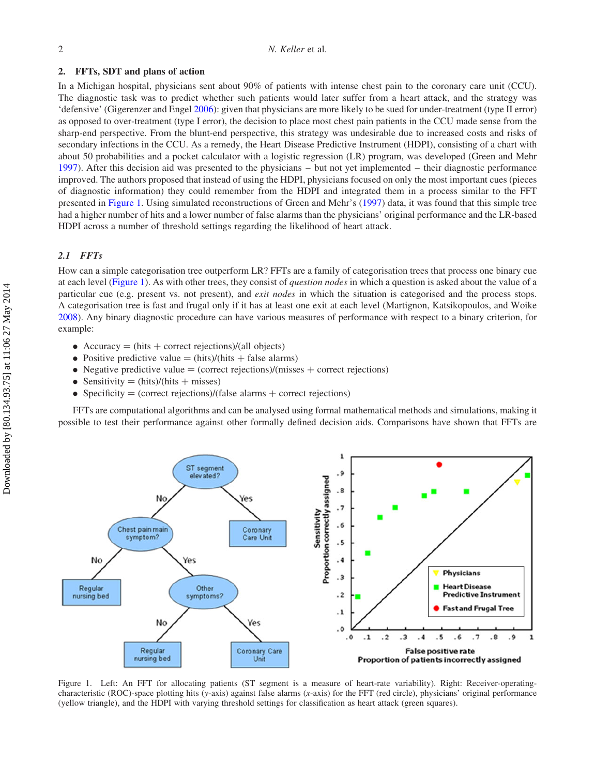# 2. FFTs, SDT and plans of action

In a Michigan hospital, physicians sent about 90% of patients with intense chest pain to the coronary care unit (CCU). The diagnostic task was to predict whether such patients would later suffer from a heart attack, and the strategy was 'defensive' (Gigerenzer and Engel [2006](#page-13-3)): given that physicians are more likely to be sued for under-treatment (type II error) as opposed to over-treatment (type I error), the decision to place most chest pain patients in the CCU made sense from the sharp-end perspective. From the blunt-end perspective, this strategy was undesirable due to increased costs and risks of secondary infections in the CCU. As a remedy, the Heart Disease Predictive Instrument (HDPI), consisting of a chart with about 50 probabilities and a pocket calculator with a logistic regression (LR) program, was developed (Green and Mehr [1997\)](#page-13-4). After this decision aid was presented to the physicians – but not yet implemented – their diagnostic performance improved. The authors proposed that instead of using the HDPI, physicians focused on only the most important cues (pieces of diagnostic information) they could remember from the HDPI and integrated them in a process similar to the FFT presented in [Figure 1.](#page-2-0) Using simulated reconstructions of Green and Mehr's ([1997\)](#page-13-4) data, it was found that this simple tree had a higher number of hits and a lower number of false alarms than the physicians' original performance and the LR-based HDPI across a number of threshold settings regarding the likelihood of heart attack.

# 2.1 FFTs

How can a simple categorisation tree outperform LR? FFTs are a family of categorisation trees that process one binary cue at each level [\(Figure 1](#page-2-0)). As with other trees, they consist of question nodes in which a question is asked about the value of a particular cue (e.g. present vs. not present), and exit nodes in which the situation is categorised and the process stops. A categorisation tree is fast and frugal only if it has at least one exit at each level (Martignon, Katsikopoulos, and Woike [2008\)](#page-13-5). Any binary diagnostic procedure can have various measures of performance with respect to a binary criterion, for example:

- Accuracy  $=$  (hits  $+$  correct rejections)/(all objects)
- Positive predictive value  $=$  (hits)/(hits  $+$  false alarms)
- Negative predictive value  $=$  (correct rejections)/(misses  $+$  correct rejections)
- Sensitivity  $=$  (hits)/(hits  $+$  misses)
- Specificity  $=$  (correct rejections)/(false alarms  $+$  correct rejections)

FFTs are computational algorithms and can be analysed using formal mathematical methods and simulations, making it possible to test their performance against other formally defined decision aids. Comparisons have shown that FFTs are

<span id="page-2-0"></span>

Figure 1. Left: An FFT for allocating patients (ST segment is a measure of heart-rate variability). Right: Receiver-operatingcharacteristic (ROC)-space plotting hits (y-axis) against false alarms (x-axis) for the FFT (red circle), physicians' original performance (yellow triangle), and the HDPI with varying threshold settings for classification as heart attack (green squares).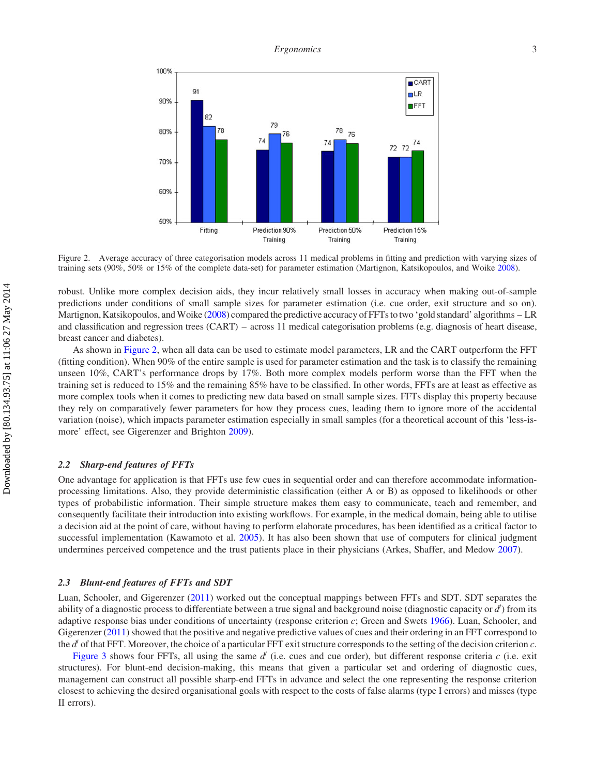<span id="page-3-0"></span>

Figure 2. Average accuracy of three categorisation models across 11 medical problems in fitting and prediction with varying sizes of training sets (90%, 50% or 15% of the complete data-set) for parameter estimation (Martignon, Katsikopoulos, and Woike [2008\)](#page-13-5).

robust. Unlike more complex decision aids, they incur relatively small losses in accuracy when making out-of-sample predictions under conditions of small sample sizes for parameter estimation (i.e. cue order, exit structure and so on). Martignon, Katsikopoulos, and Woike [\(2008\)](#page-13-5) compared the predictive accuracy of FFTs to two 'gold standard' algorithms – LR and classification and regression trees (CART) – across 11 medical categorisation problems (e.g. diagnosis of heart disease, breast cancer and diabetes).

As shown in [Figure 2,](#page-3-0) when all data can be used to estimate model parameters, LR and the CART outperform the FFT (fitting condition). When 90% of the entire sample is used for parameter estimation and the task is to classify the remaining unseen 10%, CART's performance drops by 17%. Both more complex models perform worse than the FFT when the training set is reduced to 15% and the remaining 85% have to be classified. In other words, FFTs are at least as effective as more complex tools when it comes to predicting new data based on small sample sizes. FFTs display this property because they rely on comparatively fewer parameters for how they process cues, leading them to ignore more of the accidental variation (noise), which impacts parameter estimation especially in small samples (for a theoretical account of this 'less-ismore' effect, see Gigerenzer and Brighton [2009](#page-13-6)).

### 2.2 Sharp-end features of FFTs

One advantage for application is that FFTs use few cues in sequential order and can therefore accommodate informationprocessing limitations. Also, they provide deterministic classification (either A or B) as opposed to likelihoods or other types of probabilistic information. Their simple structure makes them easy to communicate, teach and remember, and consequently facilitate their introduction into existing workflows. For example, in the medical domain, being able to utilise a decision aid at the point of care, without having to perform elaborate procedures, has been identified as a critical factor to successful implementation (Kawamoto et al. [2005](#page-13-7)). It has also been shown that use of computers for clinical judgment undermines perceived competence and the trust patients place in their physicians (Arkes, Shaffer, and Medow [2007\)](#page-13-8).

### 2.3 Blunt-end features of FFTs and SDT

Luan, Schooler, and Gigerenzer [\(2011](#page-13-9)) worked out the conceptual mappings between FFTs and SDT. SDT separates the ability of a diagnostic process to differentiate between a true signal and background noise (diagnostic capacity or  $d'$ ) from its adaptive response bias under conditions of uncertainty (response criterion c; Green and Swets [1966](#page-13-10)). Luan, Schooler, and Gigerenzer [\(2011](#page-13-9)) showed that the positive and negative predictive values of cues and their ordering in an FFT correspond to the  $d'$  of that FFT. Moreover, the choice of a particular FFT exit structure corresponds to the setting of the decision criterion c.

[Figure 3](#page-4-0) shows four FFTs, all using the same d' (i.e. cues and cue order), but different response criteria c (i.e. exit structures). For blunt-end decision-making, this means that given a particular set and ordering of diagnostic cues, management can construct all possible sharp-end FFTs in advance and select the one representing the response criterion closest to achieving the desired organisational goals with respect to the costs of false alarms (type I errors) and misses (type II errors).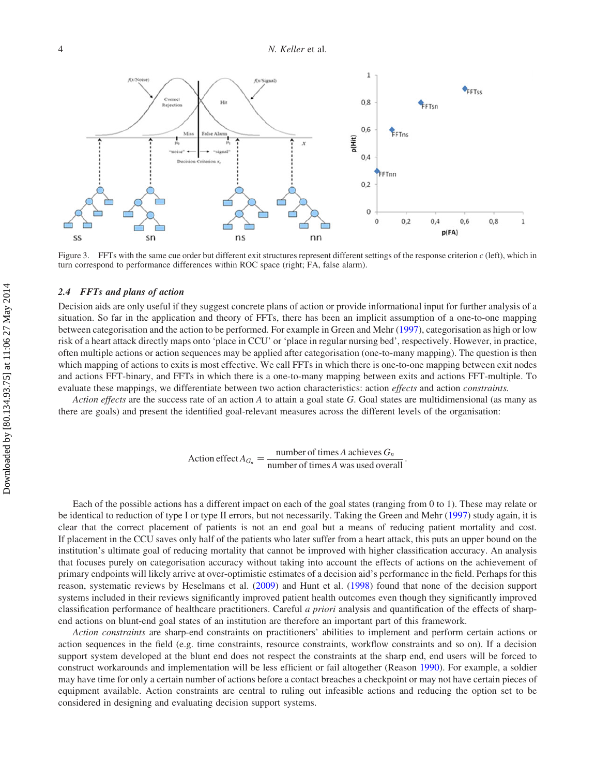<span id="page-4-0"></span>

Figure 3. FFTs with the same cue order but different exit structures represent different settings of the response criterion  $c$  (left), which in turn correspond to performance differences within ROC space (right; FA, false alarm).

### 2.4 FFTs and plans of action

Decision aids are only useful if they suggest concrete plans of action or provide informational input for further analysis of a situation. So far in the application and theory of FFTs, there has been an implicit assumption of a one-to-one mapping between categorisation and the action to be performed. For example in Green and Mehr ([1997\)](#page-13-4), categorisation as high or low risk of a heart attack directly maps onto 'place in CCU' or 'place in regular nursing bed', respectively. However, in practice, often multiple actions or action sequences may be applied after categorisation (one-to-many mapping). The question is then which mapping of actions to exits is most effective. We call FFTs in which there is one-to-one mapping between exit nodes and actions FFT-binary, and FFTs in which there is a one-to-many mapping between exits and actions FFT-multiple. To evaluate these mappings, we differentiate between two action characteristics: action *effects* and action *constraints*.

Action effects are the success rate of an action  $A$  to attain a goal state  $G$ . Goal states are multidimensional (as many as there are goals) and present the identified goal-relevant measures across the different levels of the organisation:

Action effect 
$$
A_{G_n} = \frac{\text{number of times } A \text{ achieves } G_n}{\text{number of times } A \text{ was used overall}}.
$$

Each of the possible actions has a different impact on each of the goal states (ranging from 0 to 1). These may relate or be identical to reduction of type I or type II errors, but not necessarily. Taking the Green and Mehr ([1997\)](#page-13-4) study again, it is clear that the correct placement of patients is not an end goal but a means of reducing patient mortality and cost. If placement in the CCU saves only half of the patients who later suffer from a heart attack, this puts an upper bound on the institution's ultimate goal of reducing mortality that cannot be improved with higher classification accuracy. An analysis that focuses purely on categorisation accuracy without taking into account the effects of actions on the achievement of primary endpoints will likely arrive at over-optimistic estimates of a decision aid's performance in the field. Perhaps for this reason, systematic reviews by Heselmans et al. ([2009\)](#page-13-11) and Hunt et al. ([1998\)](#page-13-12) found that none of the decision support systems included in their reviews significantly improved patient health outcomes even though they significantly improved classification performance of healthcare practitioners. Careful a priori analysis and quantification of the effects of sharpend actions on blunt-end goal states of an institution are therefore an important part of this framework.

Action constraints are sharp-end constraints on practitioners' abilities to implement and perform certain actions or action sequences in the field (e.g. time constraints, resource constraints, workflow constraints and so on). If a decision support system developed at the blunt end does not respect the constraints at the sharp end, end users will be forced to construct workarounds and implementation will be less efficient or fail altogether (Reason [1990\)](#page-13-0). For example, a soldier may have time for only a certain number of actions before a contact breaches a checkpoint or may not have certain pieces of equipment available. Action constraints are central to ruling out infeasible actions and reducing the option set to be considered in designing and evaluating decision support systems.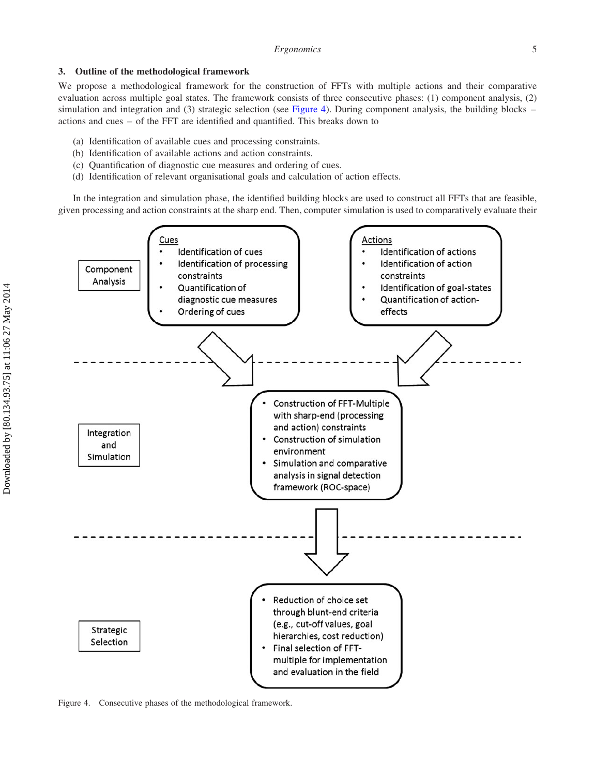## 3. Outline of the methodological framework

We propose a methodological framework for the construction of FFTs with multiple actions and their comparative evaluation across multiple goal states. The framework consists of three consecutive phases: (1) component analysis, (2) simulation and integration and (3) strategic selection (see [Figure 4\)](#page-5-0). During component analysis, the building blocks – actions and cues – of the FFT are identified and quantified. This breaks down to

- (a) Identification of available cues and processing constraints.
- (b) Identification of available actions and action constraints.
- (c) Quantification of diagnostic cue measures and ordering of cues.
- (d) Identification of relevant organisational goals and calculation of action effects.

In the integration and simulation phase, the identified building blocks are used to construct all FFTs that are feasible, given processing and action constraints at the sharp end. Then, computer simulation is used to comparatively evaluate their

<span id="page-5-0"></span>

Figure 4. Consecutive phases of the methodological framework.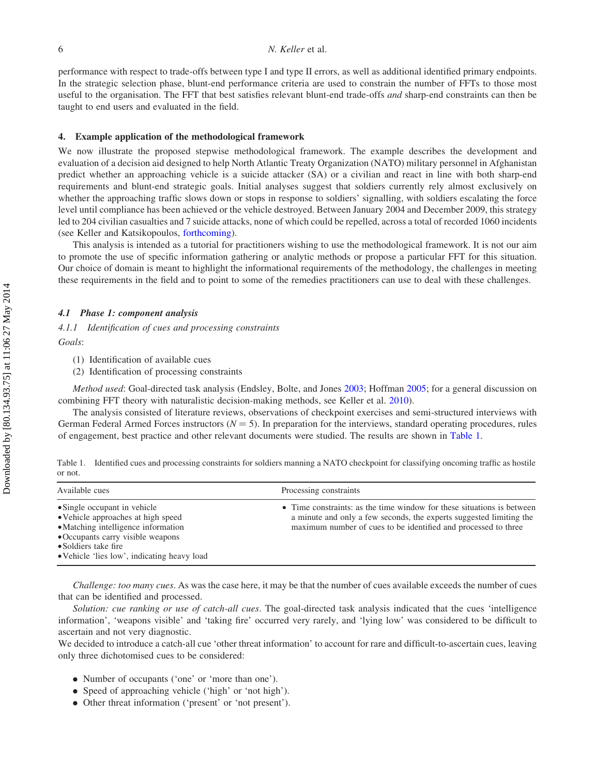performance with respect to trade-offs between type I and type II errors, as well as additional identified primary endpoints. In the strategic selection phase, blunt-end performance criteria are used to constrain the number of FFTs to those most useful to the organisation. The FFT that best satisfies relevant blunt-end trade-offs *and* sharp-end constraints can then be taught to end users and evaluated in the field.

#### 4. Example application of the methodological framework

We now illustrate the proposed stepwise methodological framework. The example describes the development and evaluation of a decision aid designed to help North Atlantic Treaty Organization (NATO) military personnel in Afghanistan predict whether an approaching vehicle is a suicide attacker (SA) or a civilian and react in line with both sharp-end requirements and blunt-end strategic goals. Initial analyses suggest that soldiers currently rely almost exclusively on whether the approaching traffic slows down or stops in response to soldiers' signalling, with soldiers escalating the force level until compliance has been achieved or the vehicle destroyed. Between January 2004 and December 2009, this strategy led to 204 civilian casualties and 7 suicide attacks, none of which could be repelled, across a total of recorded 1060 incidents (see Keller and Katsikopoulos, [forthcoming\)](#page-13-13).

This analysis is intended as a tutorial for practitioners wishing to use the methodological framework. It is not our aim to promote the use of specific information gathering or analytic methods or propose a particular FFT for this situation. Our choice of domain is meant to highlight the informational requirements of the methodology, the challenges in meeting these requirements in the field and to point to some of the remedies practitioners can use to deal with these challenges.

# 4.1 Phase 1: component analysis

#### 4.1.1 Identification of cues and processing constraints

Goals:

- (1) Identification of available cues
- (2) Identification of processing constraints

Method used: Goal-directed task analysis (Endsley, Bolte, and Jones [2003](#page-13-14); Hoffman [2005;](#page-13-15) for a general discussion on combining FFT theory with naturalistic decision-making methods, see Keller et al. [2010\)](#page-13-16).

The analysis consisted of literature reviews, observations of checkpoint exercises and semi-structured interviews with German Federal Armed Forces instructors  $(N = 5)$ . In preparation for the interviews, standard operating procedures, rules of engagement, best practice and other relevant documents were studied. The results are shown in [Table 1.](#page-6-0)

<span id="page-6-0"></span>Table 1. Identified cues and processing constraints for soldiers manning a NATO checkpoint for classifying oncoming traffic as hostile or not.

| Available cues                                                                                                                                                                                                        | Processing constraints                                                                                                                                                                                          |
|-----------------------------------------------------------------------------------------------------------------------------------------------------------------------------------------------------------------------|-----------------------------------------------------------------------------------------------------------------------------------------------------------------------------------------------------------------|
| • Single occupant in vehicle<br>• Vehicle approaches at high speed<br>• Matching intelligence information<br>• Occupants carry visible weapons<br>• Soldiers take fire<br>• Vehicle 'lies low', indicating heavy load | • Time constraints: as the time window for these situations is between<br>a minute and only a few seconds, the experts suggested limiting the<br>maximum number of cues to be identified and processed to three |

Challenge: too many cues. As was the case here, it may be that the number of cues available exceeds the number of cues that can be identified and processed.

Solution: cue ranking or use of catch-all cues. The goal-directed task analysis indicated that the cues 'intelligence information', 'weapons visible' and 'taking fire' occurred very rarely, and 'lying low' was considered to be difficult to ascertain and not very diagnostic.

We decided to introduce a catch-all cue 'other threat information' to account for rare and difficult-to-ascertain cues, leaving only three dichotomised cues to be considered:

- . Number of occupants ('one' or 'more than one').
- . Speed of approaching vehicle ('high' or 'not high').
- . Other threat information ('present' or 'not present').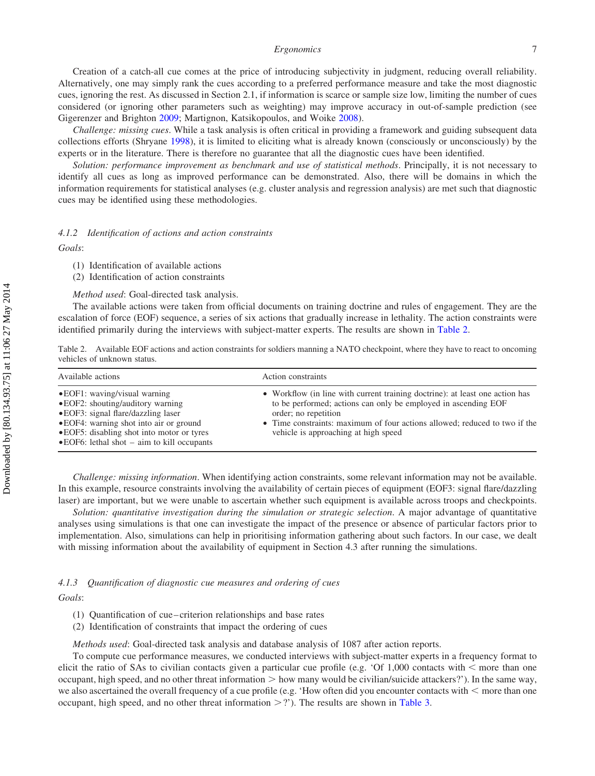## Ergonomics 7

Creation of a catch-all cue comes at the price of introducing subjectivity in judgment, reducing overall reliability. Alternatively, one may simply rank the cues according to a preferred performance measure and take the most diagnostic cues, ignoring the rest. As discussed in Section 2.1, if information is scarce or sample size low, limiting the number of cues considered (or ignoring other parameters such as weighting) may improve accuracy in out-of-sample prediction (see Gigerenzer and Brighton [2009](#page-13-6); Martignon, Katsikopoulos, and Woike [2008\)](#page-13-5).

Challenge: missing cues. While a task analysis is often critical in providing a framework and guiding subsequent data collections efforts (Shryane [1998\)](#page-13-17), it is limited to eliciting what is already known (consciously or unconsciously) by the experts or in the literature. There is therefore no guarantee that all the diagnostic cues have been identified.

Solution: performance improvement as benchmark and use of statistical methods. Principally, it is not necessary to identify all cues as long as improved performance can be demonstrated. Also, there will be domains in which the information requirements for statistical analyses (e.g. cluster analysis and regression analysis) are met such that diagnostic cues may be identified using these methodologies.

### 4.1.2 Identification of actions and action constraints

Goals:

- (1) Identification of available actions
- (2) Identification of action constraints

Method used: Goal-directed task analysis.

The available actions were taken from official documents on training doctrine and rules of engagement. They are the escalation of force (EOF) sequence, a series of six actions that gradually increase in lethality. The action constraints were identified primarily during the interviews with subject-matter experts. The results are shown in [Table 2.](#page-7-0)

<span id="page-7-0"></span>

| Table 2. Available EOF actions and action constraints for soldiers manning a NATO checkpoint, where they have to react to oncoming |  |  |  |
|------------------------------------------------------------------------------------------------------------------------------------|--|--|--|
| vehicles of unknown status.                                                                                                        |  |  |  |

| Available actions                                                                                                                                                                                                                                                   | Action constraints                                                                                                                                                                                                                                                                           |
|---------------------------------------------------------------------------------------------------------------------------------------------------------------------------------------------------------------------------------------------------------------------|----------------------------------------------------------------------------------------------------------------------------------------------------------------------------------------------------------------------------------------------------------------------------------------------|
| $\bullet$ EOF1: waving/visual warning<br>• EOF2: shouting/auditory warning<br>• EOF3: signal flare/dazzling laser<br>• EOF4: warning shot into air or ground<br>• EOF5: disabling shot into motor or tyres<br>$\bullet$ EOF6: lethal shot $-$ aim to kill occupants | • Workflow (in line with current training doctrine): at least one action has<br>to be performed; actions can only be employed in ascending EOF<br>order; no repetition<br>• Time constraints: maximum of four actions allowed; reduced to two if the<br>vehicle is approaching at high speed |

Challenge: missing information. When identifying action constraints, some relevant information may not be available. In this example, resource constraints involving the availability of certain pieces of equipment (EOF3: signal flare/dazzling laser) are important, but we were unable to ascertain whether such equipment is available across troops and checkpoints.

Solution: quantitative investigation during the simulation or strategic selection. A major advantage of quantitative analyses using simulations is that one can investigate the impact of the presence or absence of particular factors prior to implementation. Also, simulations can help in prioritising information gathering about such factors. In our case, we dealt with missing information about the availability of equipment in Section 4.3 after running the simulations.

# 4.1.3 Quantification of diagnostic cue measures and ordering of cues

Goals:

- (1) Quantification of cue –criterion relationships and base rates
- (2) Identification of constraints that impact the ordering of cues

Methods used: Goal-directed task analysis and database analysis of 1087 after action reports.

To compute cue performance measures, we conducted interviews with subject-matter experts in a frequency format to elicit the ratio of SAs to civilian contacts given a particular cue profile (e.g. 'Of 1,000 contacts with  $\leq$  more than one occupant, high speed, and no other threat information  $>$  how many would be civilian/suicide attackers?'). In the same way, we also ascertained the overall frequency of a cue profile (e.g. 'How often did you encounter contacts with  $\leq$  more than one occupant, high speed, and no other threat information  $>$ ?'). The results are shown in [Table 3.](#page-8-0)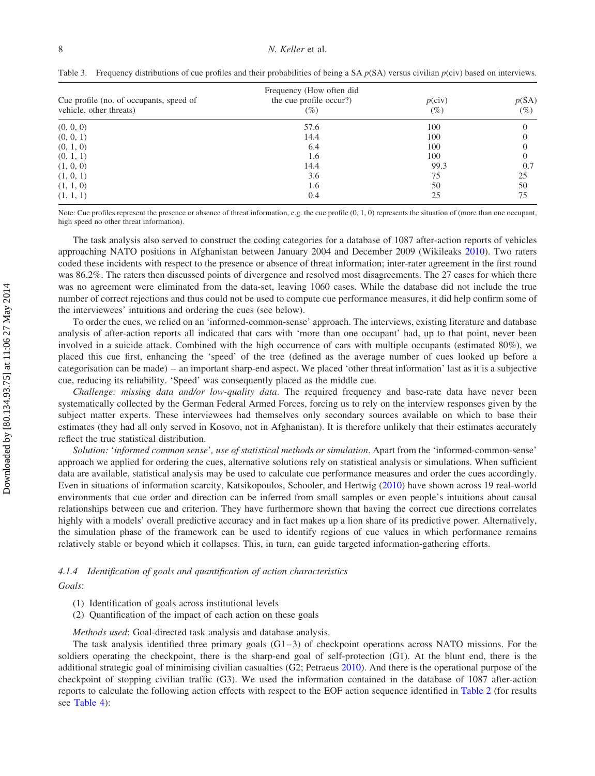<span id="page-8-0"></span>Table 3. Frequency distributions of cue profiles and their probabilities of being a SA  $p(S_A)$  versus civilian  $p(civ)$  based on interviews.

| Cue profile (no. of occupants, speed of<br>vehicle, other threats) | Frequency (How often did<br>the cue profile occur?)<br>$(\%)$ | p(civ)<br>$(\%)$ | p(SA)<br>$(\%)$ |
|--------------------------------------------------------------------|---------------------------------------------------------------|------------------|-----------------|
| (0, 0, 0)                                                          | 57.6                                                          | 100              |                 |
| (0, 0, 1)                                                          | 14.4                                                          | 100              |                 |
| (0, 1, 0)                                                          | 6.4                                                           | 100              |                 |
| (0, 1, 1)                                                          | 1.6                                                           | 100              |                 |
| (1, 0, 0)                                                          | 14.4                                                          | 99.3             | 0.7             |
| (1, 0, 1)                                                          | 3.6                                                           | 75               | 25              |
| (1, 1, 0)                                                          | 1.6                                                           | 50               | 50              |
| (1, 1, 1)                                                          | 0.4                                                           | 25               | 75              |

Note: Cue profiles represent the presence or absence of threat information, e.g. the cue profile (0, 1, 0) represents the situation of (more than one occupant, high speed no other threat information).

The task analysis also served to construct the coding categories for a database of 1087 after-action reports of vehicles approaching NATO positions in Afghanistan between January 2004 and December 2009 (Wikileaks [2010](#page-13-18)). Two raters coded these incidents with respect to the presence or absence of threat information; inter-rater agreement in the first round was 86.2%. The raters then discussed points of divergence and resolved most disagreements. The 27 cases for which there was no agreement were eliminated from the data-set, leaving 1060 cases. While the database did not include the true number of correct rejections and thus could not be used to compute cue performance measures, it did help confirm some of the interviewees' intuitions and ordering the cues (see below).

To order the cues, we relied on an 'informed-common-sense' approach. The interviews, existing literature and database analysis of after-action reports all indicated that cars with 'more than one occupant' had, up to that point, never been involved in a suicide attack. Combined with the high occurrence of cars with multiple occupants (estimated 80%), we placed this cue first, enhancing the 'speed' of the tree (defined as the average number of cues looked up before a categorisation can be made) – an important sharp-end aspect. We placed 'other threat information' last as it is a subjective cue, reducing its reliability. 'Speed' was consequently placed as the middle cue.

Challenge: missing data and/or low-quality data. The required frequency and base-rate data have never been systematically collected by the German Federal Armed Forces, forcing us to rely on the interview responses given by the subject matter experts. These interviewees had themselves only secondary sources available on which to base their estimates (they had all only served in Kosovo, not in Afghanistan). It is therefore unlikely that their estimates accurately reflect the true statistical distribution.

Solution: 'informed common sense', use of statistical methods or simulation. Apart from the 'informed-common-sense' approach we applied for ordering the cues, alternative solutions rely on statistical analysis or simulations. When sufficient data are available, statistical analysis may be used to calculate cue performance measures and order the cues accordingly. Even in situations of information scarcity, Katsikopoulos, Schooler, and Hertwig [\(2010](#page-13-19)) have shown across 19 real-world environments that cue order and direction can be inferred from small samples or even people's intuitions about causal relationships between cue and criterion. They have furthermore shown that having the correct cue directions correlates highly with a models' overall predictive accuracy and in fact makes up a lion share of its predictive power. Alternatively, the simulation phase of the framework can be used to identify regions of cue values in which performance remains relatively stable or beyond which it collapses. This, in turn, can guide targeted information-gathering efforts.

# 4.1.4 Identification of goals and quantification of action characteristics

# Goals:

- (1) Identification of goals across institutional levels
- (2) Quantification of the impact of each action on these goals

Methods used: Goal-directed task analysis and database analysis.

The task analysis identified three primary goals  $(G1-3)$  of checkpoint operations across NATO missions. For the soldiers operating the checkpoint, there is the sharp-end goal of self-protection (G1). At the blunt end, there is the additional strategic goal of minimising civilian casualties (G2; Petraeus [2010\)](#page-13-20). And there is the operational purpose of the checkpoint of stopping civilian traffic (G3). We used the information contained in the database of 1087 after-action reports to calculate the following action effects with respect to the EOF action sequence identified in [Table 2](#page-7-0) (for results see [Table 4](#page-10-0)):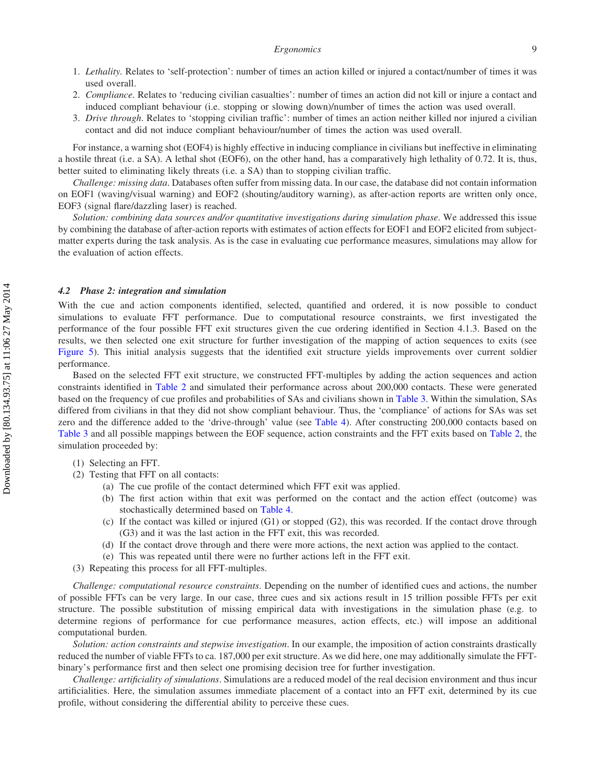- 1. Lethality. Relates to 'self-protection': number of times an action killed or injured a contact/number of times it was used overall.
- 2. Compliance. Relates to 'reducing civilian casualties': number of times an action did not kill or injure a contact and induced compliant behaviour (i.e. stopping or slowing down)/number of times the action was used overall.
- 3. Drive through. Relates to 'stopping civilian traffic': number of times an action neither killed nor injured a civilian contact and did not induce compliant behaviour/number of times the action was used overall.

For instance, a warning shot (EOF4) is highly effective in inducing compliance in civilians but ineffective in eliminating a hostile threat (i.e. a SA). A lethal shot (EOF6), on the other hand, has a comparatively high lethality of 0.72. It is, thus, better suited to eliminating likely threats (i.e. a SA) than to stopping civilian traffic.

Challenge: missing data. Databases often suffer from missing data. In our case, the database did not contain information on EOF1 (waving/visual warning) and EOF2 (shouting/auditory warning), as after-action reports are written only once, EOF3 (signal flare/dazzling laser) is reached.

Solution: combining data sources and/or quantitative investigations during simulation phase. We addressed this issue by combining the database of after-action reports with estimates of action effects for EOF1 and EOF2 elicited from subjectmatter experts during the task analysis. As is the case in evaluating cue performance measures, simulations may allow for the evaluation of action effects.

#### 4.2 Phase 2: integration and simulation

With the cue and action components identified, selected, quantified and ordered, it is now possible to conduct simulations to evaluate FFT performance. Due to computational resource constraints, we first investigated the performance of the four possible FFT exit structures given the cue ordering identified in Section 4.1.3. Based on the results, we then selected one exit structure for further investigation of the mapping of action sequences to exits (see [Figure 5\)](#page-10-1). This initial analysis suggests that the identified exit structure yields improvements over current soldier performance.

Based on the selected FFT exit structure, we constructed FFT-multiples by adding the action sequences and action constraints identified in [Table 2](#page-7-0) and simulated their performance across about 200,000 contacts. These were generated based on the frequency of cue profiles and probabilities of SAs and civilians shown in [Table 3.](#page-8-0) Within the simulation, SAs differed from civilians in that they did not show compliant behaviour. Thus, the 'compliance' of actions for SAs was set zero and the difference added to the 'drive-through' value (see [Table 4](#page-10-0)). After constructing 200,000 contacts based on [Table 3](#page-8-0) and all possible mappings between the EOF sequence, action constraints and the FFT exits based on [Table 2](#page-7-0), the simulation proceeded by:

- (1) Selecting an FFT.
- (2) Testing that FFT on all contacts:
	- (a) The cue profile of the contact determined which FFT exit was applied.
	- (b) The first action within that exit was performed on the contact and the action effect (outcome) was stochastically determined based on [Table 4.](#page-10-0)
	- (c) If the contact was killed or injured (G1) or stopped (G2), this was recorded. If the contact drove through (G3) and it was the last action in the FFT exit, this was recorded.
	- (d) If the contact drove through and there were more actions, the next action was applied to the contact.
	- (e) This was repeated until there were no further actions left in the FFT exit.

(3) Repeating this process for all FFT-multiples.

Challenge: computational resource constraints. Depending on the number of identified cues and actions, the number of possible FFTs can be very large. In our case, three cues and six actions result in 15 trillion possible FFTs per exit structure. The possible substitution of missing empirical data with investigations in the simulation phase (e.g. to determine regions of performance for cue performance measures, action effects, etc.) will impose an additional computational burden.

Solution: action constraints and stepwise investigation. In our example, the imposition of action constraints drastically reduced the number of viable FFTs to ca. 187,000 per exit structure. As we did here, one may additionally simulate the FFTbinary's performance first and then select one promising decision tree for further investigation.

Challenge: artificiality of simulations. Simulations are a reduced model of the real decision environment and thus incur artificialities. Here, the simulation assumes immediate placement of a contact into an FFT exit, determined by its cue profile, without considering the differential ability to perceive these cues.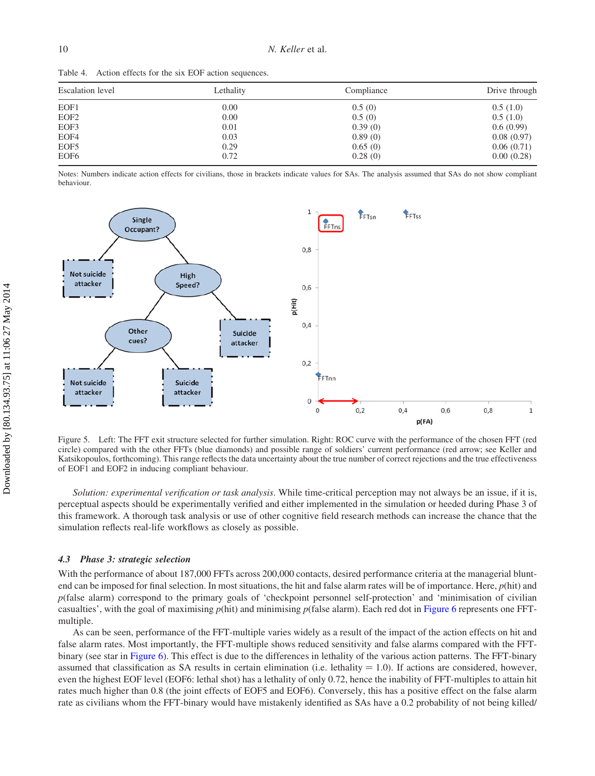| <b>Escalation</b> level | Lethality | Compliance | Drive through |  |  |
|-------------------------|-----------|------------|---------------|--|--|
| EOF1                    | 0.00      | 0.5(0)     | 0.5(1.0)      |  |  |
| EOF <sub>2</sub>        | 0.00      | 0.5(0)     | 0.5(1.0)      |  |  |
| EOF3                    | 0.01      | 0.39(0)    | 0.6(0.99)     |  |  |
| EOF4                    | 0.03      | 0.89(0)    | 0.08(0.97)    |  |  |
| EOF <sub>5</sub>        | 0.29      | 0.65(0)    | 0.06(0.71)    |  |  |
| EOF <sub>6</sub>        | 0.72      | 0.28(0)    | 0.00(0.28)    |  |  |

<span id="page-10-0"></span>Table 4. Action effects for the six EOF action sequences.

Notes: Numbers indicate action effects for civilians, those in brackets indicate values for SAs. The analysis assumed that SAs do not show compliant behaviour.

<span id="page-10-1"></span>

Figure 5. Left: The FFT exit structure selected for further simulation. Right: ROC curve with the performance of the chosen FFT (red circle) compared with the other FFTs (blue diamonds) and possible range of soldiers' current performance (red arrow; see Keller and Katsikopoulos, forthcoming). This range reflects the data uncertainty about the true number of correct rejections and the true effectiveness of EOF1 and EOF2 in inducing compliant behaviour.

Solution: experimental verification or task analysis. While time-critical perception may not always be an issue, if it is, perceptual aspects should be experimentally verified and either implemented in the simulation or heeded during Phase 3 of this framework. A thorough task analysis or use of other cognitive field research methods can increase the chance that the simulation reflects real-life workflows as closely as possible.

### 4.3 Phase 3: strategic selection

With the performance of about 187,000 FFTs across 200,000 contacts, desired performance criteria at the managerial bluntend can be imposed for final selection. In most situations, the hit and false alarm rates will be of importance. Here,  $p(\text{hit})$  and p(false alarm) correspond to the primary goals of 'checkpoint personnel self-protection' and 'minimisation of civilian casualties', with the goal of maximising  $p$ (hit) and minimising  $p$ (false alarm). Each red dot in [Figure 6](#page-11-0) represents one FFTmultiple.

As can be seen, performance of the FFT-multiple varies widely as a result of the impact of the action effects on hit and false alarm rates. Most importantly, the FFT-multiple shows reduced sensitivity and false alarms compared with the FFT-binary (see star in [Figure 6](#page-11-0)). This effect is due to the differences in lethality of the various action patterns. The FFT-binary assumed that classification as SA results in certain elimination (i.e. lethality  $= 1.0$ ). If actions are considered, however, even the highest EOF level (EOF6: lethal shot) has a lethality of only 0.72, hence the inability of FFT-multiples to attain hit rates much higher than 0.8 (the joint effects of EOF5 and EOF6). Conversely, this has a positive effect on the false alarm rate as civilians whom the FFT-binary would have mistakenly identified as SAs have a 0.2 probability of not being killed/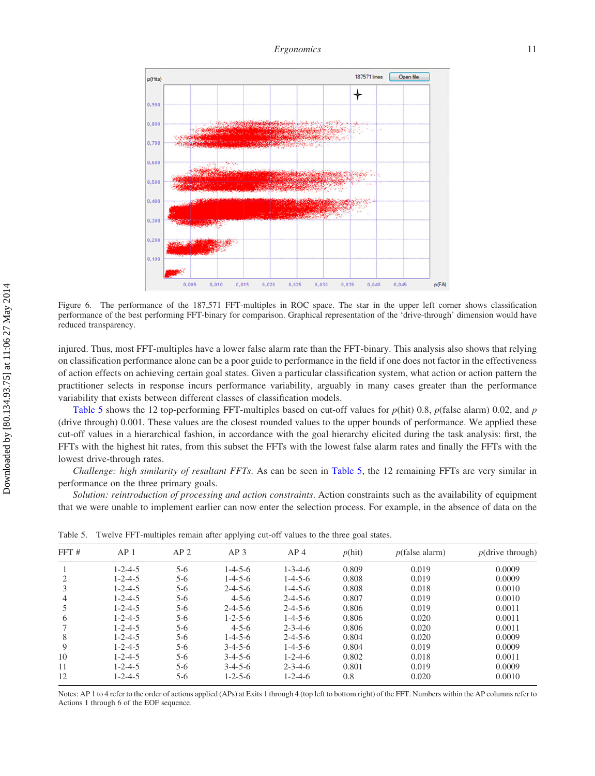<span id="page-11-0"></span>

Figure 6. The performance of the 187,571 FFT-multiples in ROC space. The star in the upper left corner shows classification performance of the best performing FFT-binary for comparison. Graphical representation of the 'drive-through' dimension would have reduced transparency.

injured. Thus, most FFT-multiples have a lower false alarm rate than the FFT-binary. This analysis also shows that relying on classification performance alone can be a poor guide to performance in the field if one does not factor in the effectiveness of action effects on achieving certain goal states. Given a particular classification system, what action or action pattern the practitioner selects in response incurs performance variability, arguably in many cases greater than the performance variability that exists between different classes of classification models.

[Table 5](#page-11-1) shows the 12 top-performing FFT-multiples based on cut-off values for  $p$ (hit) 0.8,  $p$ (false alarm) 0.02, and  $p$ (drive through) 0.001. These values are the closest rounded values to the upper bounds of performance. We applied these cut-off values in a hierarchical fashion, in accordance with the goal hierarchy elicited during the task analysis: first, the FFTs with the highest hit rates, from this subset the FFTs with the lowest false alarm rates and finally the FFTs with the lowest drive-through rates.

Challenge: high similarity of resultant FFTs. As can be seen in [Table 5,](#page-11-1) the 12 remaining FFTs are very similar in performance on the three primary goals.

Solution: reintroduction of processing and action constraints. Action constraints such as the availability of equipment that we were unable to implement earlier can now enter the selection process. For example, in the absence of data on the

<span id="page-11-1"></span>

|  | Table 5. Twelve FFT-multiples remain after applying cut-off values to the three goal states. |  |  |  |  |  |  |  |  |  |  |
|--|----------------------------------------------------------------------------------------------|--|--|--|--|--|--|--|--|--|--|
|--|----------------------------------------------------------------------------------------------|--|--|--|--|--|--|--|--|--|--|

| 0.809<br>$1 - 2 - 4 - 5$<br>$1 - 3 - 4 - 6$<br>0.019<br>$1 - 4 - 5 - 6$<br>5-6<br>$1 - 4 - 5 - 6$<br>0.808<br>2<br>$1 - 2 - 4 - 5$<br>0.019<br>5-6<br>$1 - 4 - 5 - 6$ | 0.0009<br>0.0009<br>0.0010 |
|-----------------------------------------------------------------------------------------------------------------------------------------------------------------------|----------------------------|
|                                                                                                                                                                       |                            |
|                                                                                                                                                                       |                            |
| 3<br>0.808<br>$1 - 2 - 4 - 5$<br>5-6<br>$1 - 4 - 5 - 6$<br>0.018<br>$2 - 4 - 5 - 6$                                                                                   |                            |
| 0.807<br>$1 - 2 - 4 - 5$<br>5-6<br>$4 - 5 - 6$<br>$2 - 4 - 5 - 6$<br>0.019<br>4                                                                                       | 0.0010                     |
| $1 - 2 - 4 - 5$<br>5-6<br>$2 - 4 - 5 - 6$<br>0.806<br>0.019<br>$2 - 4 - 5 - 6$                                                                                        | 0.0011                     |
| $1 - 4 - 5 - 6$<br>$1 - 2 - 4 - 5$<br>5-6<br>$1 - 2 - 5 - 6$<br>0.806<br>0.020<br>6                                                                                   | 0.0011                     |
| $1 - 2 - 4 - 5$<br>5-6<br>$2 - 3 - 4 - 6$<br>0.806<br>0.020<br>$4 - 5 - 6$                                                                                            | 0.0011                     |
| 8<br>$1 - 2 - 4 - 5$<br>5-6<br>$2 - 4 - 5 - 6$<br>0.804<br>0.020<br>$1 - 4 - 5 - 6$                                                                                   | 0.0009                     |
| 9<br>$5-6$<br>$1 - 4 - 5 - 6$<br>0.804<br>$1 - 2 - 4 - 5$<br>0.019<br>$3 - 4 - 5 - 6$                                                                                 | 0.0009                     |
| 10<br>$1 - 2 - 4 - 5$<br>$1 - 2 - 4 - 6$<br>0.802<br>0.018<br>$5-6$<br>$3 - 4 - 5 - 6$                                                                                | 0.0011                     |
| 11<br>0.801<br>$1 - 2 - 4 - 5$<br>$2 - 3 - 4 - 6$<br>0.019<br>$5-6$<br>$3 - 4 - 5 - 6$                                                                                | 0.0009                     |
| 12<br>0.8<br>$1 - 2 - 4 - 5$<br>$1 - 2 - 4 - 6$<br>0.020<br>$5-6$<br>$1 - 2 - 5 - 6$                                                                                  | 0.0010                     |

Notes: AP 1 to 4 refer to the order of actions applied (APs) at Exits 1 through 4 (top left to bottom right) of the FFT. Numbers within the AP columns refer to Actions 1 through 6 of the EOF sequence.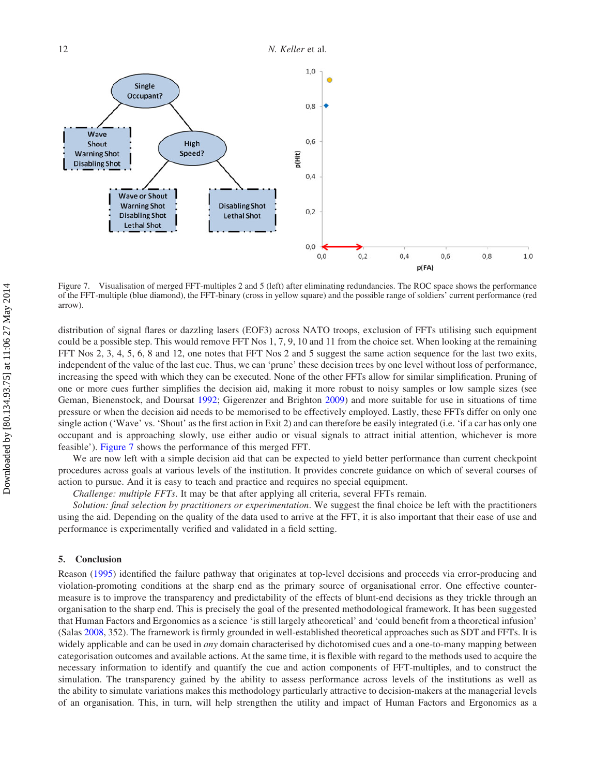12 N. Keller et al.

<span id="page-12-0"></span>

Figure 7. Visualisation of merged FFT-multiples 2 and 5 (left) after eliminating redundancies. The ROC space shows the performance of the FFT-multiple (blue diamond), the FFT-binary (cross in yellow square) and the possible range of soldiers' current performance (red arrow).

distribution of signal flares or dazzling lasers (EOF3) across NATO troops, exclusion of FFTs utilising such equipment could be a possible step. This would remove FFT Nos 1, 7, 9, 10 and 11 from the choice set. When looking at the remaining FFT Nos 2, 3, 4, 5, 6, 8 and 12, one notes that FFT Nos 2 and 5 suggest the same action sequence for the last two exits, independent of the value of the last cue. Thus, we can 'prune' these decision trees by one level without loss of performance, increasing the speed with which they can be executed. None of the other FFTs allow for similar simplification. Pruning of one or more cues further simplifies the decision aid, making it more robust to noisy samples or low sample sizes (see Geman, Bienenstock, and Doursat [1992](#page-13-21); Gigerenzer and Brighton [2009\)](#page-13-6) and more suitable for use in situations of time pressure or when the decision aid needs to be memorised to be effectively employed. Lastly, these FFTs differ on only one single action ('Wave' vs. 'Shout' as the first action in Exit 2) and can therefore be easily integrated (i.e. 'if a car has only one occupant and is approaching slowly, use either audio or visual signals to attract initial attention, whichever is more feasible'). [Figure 7](#page-12-0) shows the performance of this merged FFT.

We are now left with a simple decision aid that can be expected to yield better performance than current checkpoint procedures across goals at various levels of the institution. It provides concrete guidance on which of several courses of action to pursue. And it is easy to teach and practice and requires no special equipment.

Challenge: multiple FFTs. It may be that after applying all criteria, several FFTs remain.

Solution: final selection by practitioners or experimentation. We suggest the final choice be left with the practitioners using the aid. Depending on the quality of the data used to arrive at the FFT, it is also important that their ease of use and performance is experimentally verified and validated in a field setting.

### 5. Conclusion

Reason ([1995\)](#page-13-1) identified the failure pathway that originates at top-level decisions and proceeds via error-producing and violation-promoting conditions at the sharp end as the primary source of organisational error. One effective countermeasure is to improve the transparency and predictability of the effects of blunt-end decisions as they trickle through an organisation to the sharp end. This is precisely the goal of the presented methodological framework. It has been suggested that Human Factors and Ergonomics as a science 'is still largely atheoretical' and 'could benefit from a theoretical infusion' (Salas [2008](#page-13-22), 352). The framework is firmly grounded in well-established theoretical approaches such as SDT and FFTs. It is widely applicable and can be used in *any* domain characterised by dichotomised cues and a one-to-many mapping between categorisation outcomes and available actions. At the same time, it is flexible with regard to the methods used to acquire the necessary information to identify and quantify the cue and action components of FFT-multiples, and to construct the simulation. The transparency gained by the ability to assess performance across levels of the institutions as well as the ability to simulate variations makes this methodology particularly attractive to decision-makers at the managerial levels of an organisation. This, in turn, will help strengthen the utility and impact of Human Factors and Ergonomics as a